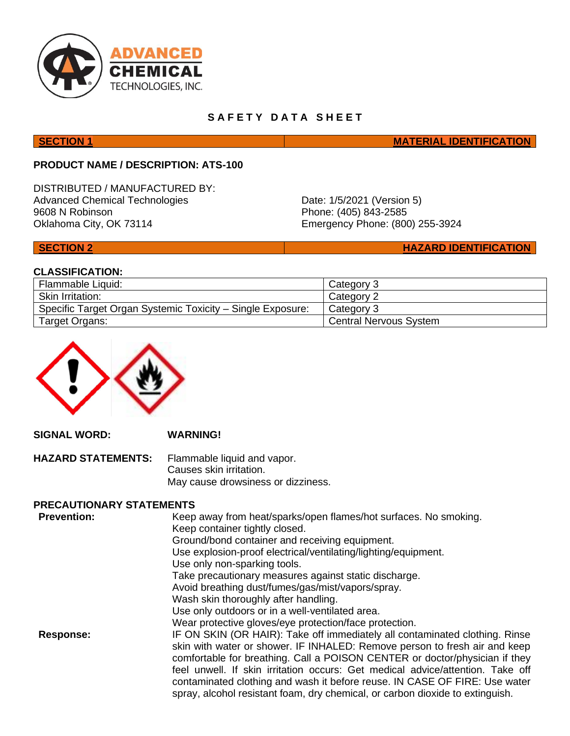

# **SAFETY DATA SHEET**

**SECTION 1 MATERIAL IDENTIFICATION** 

# **PRODUCT NAME / DESCRIPTION: ATS-100**

DISTRIBUTED / MANUFACTURED BY: Advanced Chemical Technologies 9608 N Robinson Oklahoma City, OK 73114

Date: 1/5/2021 (Version 5) Phone: (405) 843-2585 Emergency Phone: (800) 255-3924

**SECTION 2 HAZARD IDENTIFICATION** 

# **CLASSIFICATION:**

| Flammable Liquid:                                          | Category 3                    |
|------------------------------------------------------------|-------------------------------|
| <b>Skin Irritation:</b>                                    | Category 2                    |
| Specific Target Organ Systemic Toxicity – Single Exposure: | Category 3                    |
| Target Organs:                                             | <b>Central Nervous System</b> |



**SIGNAL WORD: WARNING! HAZARD STATEMENTS:** Flammable liquid and vapor. Causes skin irritation. May cause drowsiness or dizziness.

### **PRECAUTIONARY STATEMENTS**

| <b>Prevention:</b> | Keep away from heat/sparks/open flames/hot surfaces. No smoking.<br>Keep container tightly closed. |
|--------------------|----------------------------------------------------------------------------------------------------|
|                    | Ground/bond container and receiving equipment.                                                     |
|                    |                                                                                                    |
|                    | Use explosion-proof electrical/ventilating/lighting/equipment.                                     |
|                    | Use only non-sparking tools.                                                                       |
|                    | Take precautionary measures against static discharge.                                              |
|                    | Avoid breathing dust/fumes/gas/mist/vapors/spray.                                                  |
|                    | Wash skin thoroughly after handling.                                                               |
|                    | Use only outdoors or in a well-ventilated area.                                                    |
|                    | Wear protective gloves/eye protection/face protection.                                             |
| <b>Response:</b>   | IF ON SKIN (OR HAIR): Take off immediately all contaminated clothing. Rinse                        |
|                    | skin with water or shower. IF INHALED: Remove person to fresh air and keep                         |
|                    | comfortable for breathing. Call a POISON CENTER or doctor/physician if they                        |
|                    | feel unwell. If skin irritation occurs: Get medical advice/attention. Take off                     |
|                    | contaminated clothing and wash it before reuse. IN CASE OF FIRE: Use water                         |
|                    | spray, alcohol resistant foam, dry chemical, or carbon dioxide to extinguish.                      |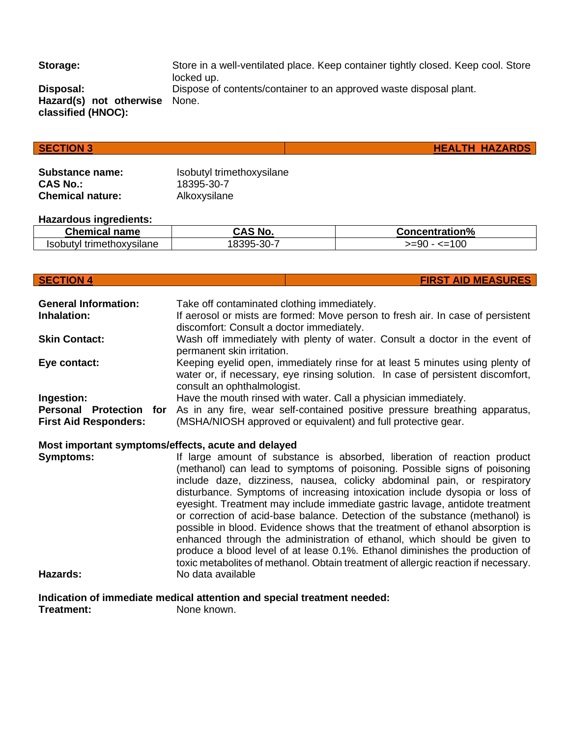**Storage:** Store in a well-ventilated place. Keep container tightly closed. Keep cool. Store locked up. **Disposal:** Dispose of contents/container to an approved waste disposal plant.

**Hazard(s) not otherwise classified (HNOC):**

# **SECTION 3 HEALTH HAZARDS**

**Substance name:** Isobutyl trimethoxysilane **CAS No.:** 18395-30-7 **Chemical nature:** Alkoxysilane

None.

### **Hazardous ingredients:**

| <b>Chemical</b><br>name        | $\ddot{\phantom{1}}$<br><b>No</b> | <b>Concentration%</b> |
|--------------------------------|-----------------------------------|-----------------------|
| Isobutvl<br>l trimethoxvsilane | $\sim$ $\sim$<br>1305-<br>ა∪∹     | 100<br>$>= 90$<br>--  |

### **SECTION 4 FIRST AID MEASURES**

**General Information:** Take off contaminated clothing immediately. **Inhalation:** If aerosol or mists are formed: Move person to fresh air. In case of persistent discomfort: Consult a doctor immediately. **Skin Contact:** Wash off immediately with plenty of water. Consult a doctor in the event of permanent skin irritation. **Eye contact:** Keeping eyelid open, immediately rinse for at least 5 minutes using plenty of water or, if necessary, eye rinsing solution. In case of persistent discomfort, consult an ophthalmologist. **Ingestion:** Have the mouth rinsed with water. Call a physician immediately. **Personal Protection for First Aid Responders:** As in any fire, wear self-contained positive pressure breathing apparatus, (MSHA/NIOSH approved or equivalent) and full protective gear. **Most important symptoms/effects, acute and delayed Symptoms:** If large amount of substance is absorbed, liberation of reaction product (methanol) can lead to symptoms of poisoning. Possible signs of poisoning include daze, dizziness, nausea, colicky abdominal pain, or respiratory disturbance. Symptoms of increasing intoxication include dysopia or loss of eyesight. Treatment may include immediate gastric lavage, antidote treatment or correction of acid-base balance. Detection of the substance (methanol) is possible in blood. Evidence shows that the treatment of ethanol absorption is enhanced through the administration of ethanol, which should be given to produce a blood level of at lease 0.1%. Ethanol diminishes the production of toxic metabolites of methanol. Obtain treatment of allergic reaction if necessary.

**Hazards:** No data available

**Indication of immediate medical attention and special treatment needed:**

**Treatment:** None known.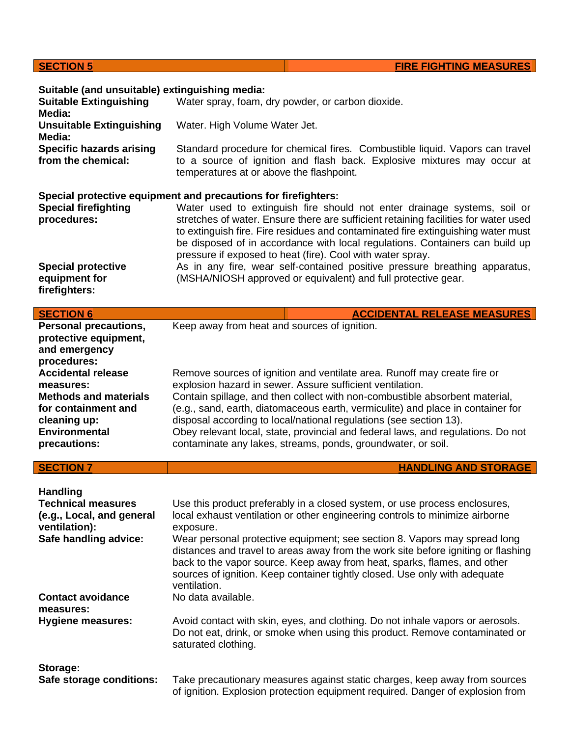| <b>SECTION 5</b>                                                                                                                                      | <b>FIRE FIGHTING MEASURES</b>                                                                                                                                                                                                                                                                                                                                                                                                                                                                                                     |
|-------------------------------------------------------------------------------------------------------------------------------------------------------|-----------------------------------------------------------------------------------------------------------------------------------------------------------------------------------------------------------------------------------------------------------------------------------------------------------------------------------------------------------------------------------------------------------------------------------------------------------------------------------------------------------------------------------|
| Suitable (and unsuitable) extinguishing media:<br><b>Suitable Extinguishing</b><br>Media:                                                             | Water spray, foam, dry powder, or carbon dioxide.                                                                                                                                                                                                                                                                                                                                                                                                                                                                                 |
| <b>Unsuitable Extinguishing</b>                                                                                                                       | Water. High Volume Water Jet.                                                                                                                                                                                                                                                                                                                                                                                                                                                                                                     |
| Media:<br><b>Specific hazards arising</b><br>from the chemical:                                                                                       | Standard procedure for chemical fires. Combustible liquid. Vapors can travel<br>to a source of ignition and flash back. Explosive mixtures may occur at<br>temperatures at or above the flashpoint.                                                                                                                                                                                                                                                                                                                               |
| <b>Special firefighting</b><br>procedures:                                                                                                            | Special protective equipment and precautions for firefighters:<br>Water used to extinguish fire should not enter drainage systems, soil or<br>stretches of water. Ensure there are sufficient retaining facilities for water used<br>to extinguish fire. Fire residues and contaminated fire extinguishing water must<br>be disposed of in accordance with local regulations. Containers can build up<br>pressure if exposed to heat (fire). Cool with water spray.                                                               |
| <b>Special protective</b><br>equipment for<br>firefighters:                                                                                           | As in any fire, wear self-contained positive pressure breathing apparatus,<br>(MSHA/NIOSH approved or equivalent) and full protective gear.                                                                                                                                                                                                                                                                                                                                                                                       |
| <b>SECTION 6</b>                                                                                                                                      | <b>ACCIDENTAL RELEASE MEASURES</b>                                                                                                                                                                                                                                                                                                                                                                                                                                                                                                |
| <b>Personal precautions,</b><br>protective equipment,<br>and emergency<br>procedures:                                                                 | Keep away from heat and sources of ignition.                                                                                                                                                                                                                                                                                                                                                                                                                                                                                      |
| <b>Accidental release</b><br>measures:<br><b>Methods and materials</b><br>for containment and<br>cleaning up:<br><b>Environmental</b><br>precautions: | Remove sources of ignition and ventilate area. Runoff may create fire or<br>explosion hazard in sewer. Assure sufficient ventilation.<br>Contain spillage, and then collect with non-combustible absorbent material,<br>(e.g., sand, earth, diatomaceous earth, vermiculite) and place in container for<br>disposal according to local/national regulations (see section 13).<br>Obey relevant local, state, provincial and federal laws, and regulations. Do not<br>contaminate any lakes, streams, ponds, groundwater, or soil. |
| <b>SECTION 7</b>                                                                                                                                      | <b>HANDLING AND STORAGE</b>                                                                                                                                                                                                                                                                                                                                                                                                                                                                                                       |
| <b>Handling</b><br><b>Technical measures</b><br>(e.g., Local, and general<br>ventilation):<br>Safe handling advice:                                   | Use this product preferably in a closed system, or use process enclosures,<br>local exhaust ventilation or other engineering controls to minimize airborne<br>exposure.<br>Wear personal protective equipment; see section 8. Vapors may spread long<br>distances and travel to areas away from the work site before igniting or flashing                                                                                                                                                                                         |
| <b>Contact avoidance</b><br>measures:<br><b>Hygiene measures:</b>                                                                                     | back to the vapor source. Keep away from heat, sparks, flames, and other<br>sources of ignition. Keep container tightly closed. Use only with adequate<br>ventilation.<br>No data available.<br>Avoid contact with skin, eyes, and clothing. Do not inhale vapors or aerosols.<br>Do not eat, drink, or smoke when using this product. Remove contaminated or                                                                                                                                                                     |
| Storage:<br>Safe storage conditions:                                                                                                                  | saturated clothing.<br>Take precautionary measures against static charges, keep away from sources<br>of ignition. Explosion protection equipment required. Danger of explosion from                                                                                                                                                                                                                                                                                                                                               |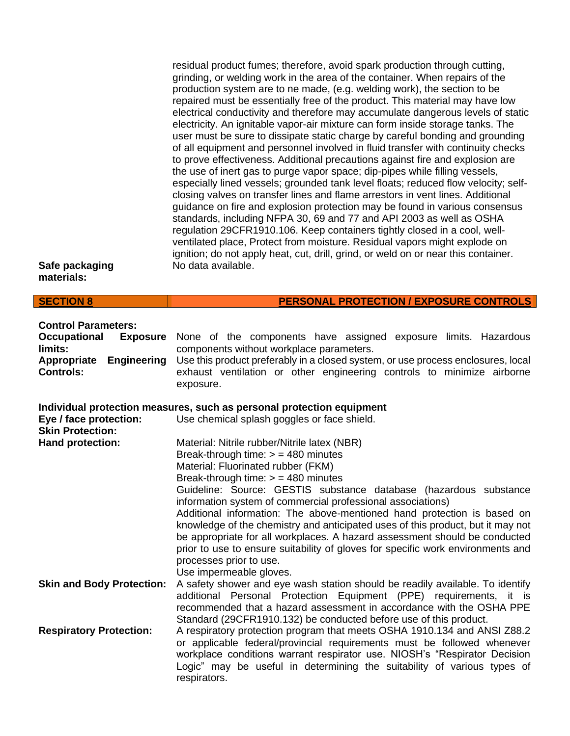| Safe packaging<br>materials:                                                                                                             | residual product fumes; therefore, avoid spark production through cutting,<br>grinding, or welding work in the area of the container. When repairs of the<br>production system are to ne made, (e.g. welding work), the section to be<br>repaired must be essentially free of the product. This material may have low<br>electrical conductivity and therefore may accumulate dangerous levels of static<br>electricity. An ignitable vapor-air mixture can form inside storage tanks. The<br>user must be sure to dissipate static charge by careful bonding and grounding<br>of all equipment and personnel involved in fluid transfer with continuity checks<br>to prove effectiveness. Additional precautions against fire and explosion are<br>the use of inert gas to purge vapor space; dip-pipes while filling vessels,<br>especially lined vessels; grounded tank level floats; reduced flow velocity; self-<br>closing valves on transfer lines and flame arrestors in vent lines. Additional<br>guidance on fire and explosion protection may be found in various consensus<br>standards, including NFPA 30, 69 and 77 and API 2003 as well as OSHA<br>regulation 29CFR1910.106. Keep containers tightly closed in a cool, well-<br>ventilated place, Protect from moisture. Residual vapors might explode on<br>ignition; do not apply heat, cut, drill, grind, or weld on or near this container.<br>No data available. |
|------------------------------------------------------------------------------------------------------------------------------------------|--------------------------------------------------------------------------------------------------------------------------------------------------------------------------------------------------------------------------------------------------------------------------------------------------------------------------------------------------------------------------------------------------------------------------------------------------------------------------------------------------------------------------------------------------------------------------------------------------------------------------------------------------------------------------------------------------------------------------------------------------------------------------------------------------------------------------------------------------------------------------------------------------------------------------------------------------------------------------------------------------------------------------------------------------------------------------------------------------------------------------------------------------------------------------------------------------------------------------------------------------------------------------------------------------------------------------------------------------------------------------------------------------------------------------------------|
| <b>SECTION 8</b>                                                                                                                         | <b>PERSONAL PROTECTION / EXPOSURE CONTROLS</b>                                                                                                                                                                                                                                                                                                                                                                                                                                                                                                                                                                                                                                                                                                                                                                                                                                                                                                                                                                                                                                                                                                                                                                                                                                                                                                                                                                                       |
| <b>Control Parameters:</b><br><b>Occupational</b><br><b>Exposure</b><br>limits:<br>Appropriate<br><b>Engineering</b><br><b>Controls:</b> | None of the components have assigned exposure limits. Hazardous<br>components without workplace parameters.<br>Use this product preferably in a closed system, or use process enclosures, local<br>exhaust ventilation or other engineering controls to minimize airborne<br>exposure.                                                                                                                                                                                                                                                                                                                                                                                                                                                                                                                                                                                                                                                                                                                                                                                                                                                                                                                                                                                                                                                                                                                                               |
| Eye / face protection:<br><b>Skin Protection:</b>                                                                                        | Individual protection measures, such as personal protection equipment<br>Use chemical splash goggles or face shield.                                                                                                                                                                                                                                                                                                                                                                                                                                                                                                                                                                                                                                                                                                                                                                                                                                                                                                                                                                                                                                                                                                                                                                                                                                                                                                                 |
| Hand protection:                                                                                                                         | Material: Nitrile rubber/Nitrile latex (NBR)<br>Break-through time: $>$ = 480 minutes<br>Material: Fluorinated rubber (FKM)<br>Break-through time: $>$ = 480 minutes<br>Guideline: Source: GESTIS substance database (hazardous substance<br>information system of commercial professional associations)<br>Additional information: The above-mentioned hand protection is based on<br>knowledge of the chemistry and anticipated uses of this product, but it may not<br>be appropriate for all workplaces. A hazard assessment should be conducted<br>prior to use to ensure suitability of gloves for specific work environments and<br>processes prior to use.<br>Use impermeable gloves.                                                                                                                                                                                                                                                                                                                                                                                                                                                                                                                                                                                                                                                                                                                                        |
| <b>Skin and Body Protection:</b>                                                                                                         | A safety shower and eye wash station should be readily available. To identify<br>additional Personal Protection Equipment (PPE) requirements, it is<br>recommended that a hazard assessment in accordance with the OSHA PPE<br>Standard (29CFR1910.132) be conducted before use of this product.                                                                                                                                                                                                                                                                                                                                                                                                                                                                                                                                                                                                                                                                                                                                                                                                                                                                                                                                                                                                                                                                                                                                     |
| <b>Respiratory Protection:</b>                                                                                                           | A respiratory protection program that meets OSHA 1910.134 and ANSI Z88.2<br>or applicable federal/provincial requirements must be followed whenever<br>workplace conditions warrant respirator use. NIOSH's "Respirator Decision<br>Logic" may be useful in determining the suitability of various types of<br>respirators.                                                                                                                                                                                                                                                                                                                                                                                                                                                                                                                                                                                                                                                                                                                                                                                                                                                                                                                                                                                                                                                                                                          |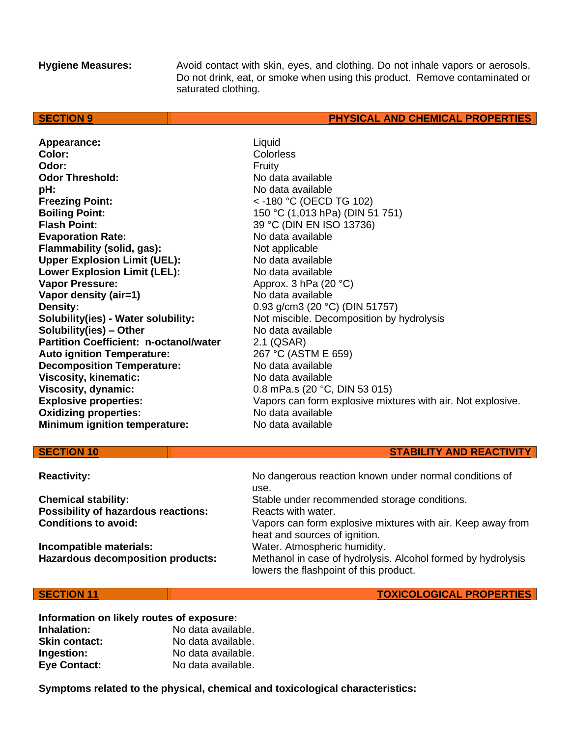**Hygiene Measures:** Avoid contact with skin, eyes, and clothing. Do not inhale vapors or aerosols. Do not drink, eat, or smoke when using this product. Remove contaminated or saturated clothing.

### **SECTION 9 PHYSICAL AND CHEMICAL PROPERTIES**

Appearance: Liquid **Color:** Colorless **Odor:** Fruity **Odor Threshold:** No data available **pH:**  $\blacksquare$ **Freezing Point:**  $\leftarrow$  -180 °C (OECD TG 102) **Boiling Point:** 150 °C (1,013 hPa) (DIN 51 751) **Flash Point:** 39 °C (DIN EN ISO 13736) **Evaporation Rate:** No data available **Flammability (solid, gas):** Not applicable **Upper Explosion Limit (UEL):** No data available Lower Explosion Limit (LEL): No data available **Vapor Pressure:** Approx. 3 hPa (20 °C) **Vapor density (air=1)** No data available **Density:** 0.93 g/cm3 (20 °C) (DIN 51757)<br> **Solubility(ies) - Water solubility:** Not miscible. Decomposition by **Solubility(ies) – Other** No data available **Partition Coefficient: n-octanol/water** 2.1 (QSAR)<br> **Auto ignition Temperature:** 267 °C (ASTM E 659) **Auto ignition Temperature: Decomposition Temperature:** No data available **Viscosity, kinematic:** No data available **Viscosity, dynamic:** 0.8 mPa.s (20 °C, DIN 53 015) **Oxidizing properties:** No data available **Minimum ignition temperature:** No data available

Not miscible. Decomposition by hydrolysis **Explosive properties:** Vapors can form explosive mixtures with air. Not explosive.

**Possibility of hazardous reactions:** Reacts with water.

**Incompatible materials:** Water. Atmospheric humidity.

**Reactivity:** No dangerous reaction known under normal conditions of use. **Chemical stability:** Stable under recommended storage conditions. **Conditions to avoid:** Vapors can form explosive mixtures with air. Keep away from heat and sources of ignition. Hazardous decomposition products: Methanol in case of hydrolysis. Alcohol formed by hydrolysis lowers the flashpoint of this product.

### **SECTION 11 TOXICOLOGICAL PROPERTIES**

**Information on likely routes of exposure: Inhalation:** No data available. **Skin contact:** No data available. **Ingestion:** No data available.

**Eye Contact:** No data available.

**Symptoms related to the physical, chemical and toxicological characteristics:**

# **SECTION 10 STABILITY AND REACTIVITY**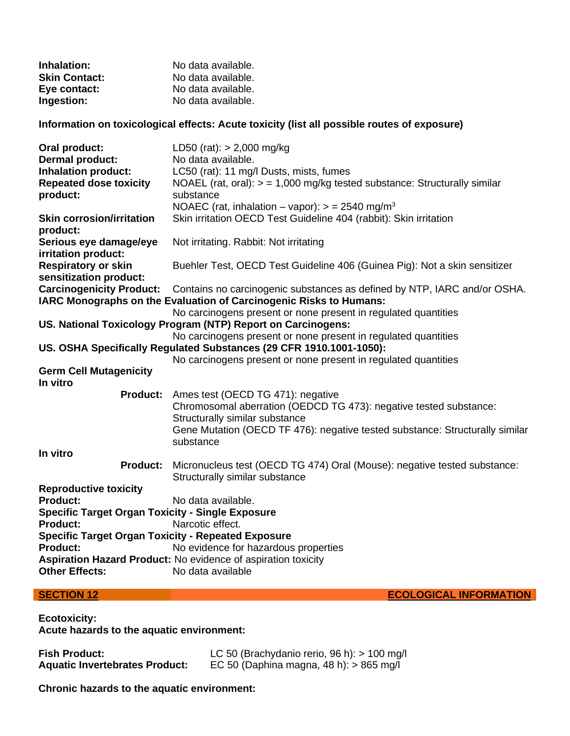| Inhalation:          | No data available. |
|----------------------|--------------------|
| <b>Skin Contact:</b> | No data available. |
| Eye contact:         | No data available. |
| Ingestion:           | No data available. |

**Information on toxicological effects: Acute toxicity (list all possible routes of exposure)**

| Oral product:                                             | LD50 (rat): $> 2,000$ mg/kg                                                  |  |
|-----------------------------------------------------------|------------------------------------------------------------------------------|--|
| <b>Dermal product:</b>                                    | No data available.                                                           |  |
| <b>Inhalation product:</b>                                | LC50 (rat): 11 mg/l Dusts, mists, fumes                                      |  |
| <b>Repeated dose toxicity</b>                             | NOAEL (rat, oral): $> = 1,000$ mg/kg tested substance: Structurally similar  |  |
| product:                                                  | substance                                                                    |  |
|                                                           | NOAEC (rat, inhalation – vapor): $>$ = 2540 mg/m <sup>3</sup>                |  |
| <b>Skin corrosion/irritation</b>                          | Skin irritation OECD Test Guideline 404 (rabbit): Skin irritation            |  |
| product:                                                  |                                                                              |  |
| Serious eye damage/eye                                    | Not irritating. Rabbit: Not irritating                                       |  |
| irritation product:                                       |                                                                              |  |
| <b>Respiratory or skin</b>                                | Buehler Test, OECD Test Guideline 406 (Guinea Pig): Not a skin sensitizer    |  |
| sensitization product:                                    |                                                                              |  |
| <b>Carcinogenicity Product:</b>                           | Contains no carcinogenic substances as defined by NTP, IARC and/or OSHA.     |  |
|                                                           | IARC Monographs on the Evaluation of Carcinogenic Risks to Humans:           |  |
|                                                           | No carcinogens present or none present in regulated quantities               |  |
|                                                           | US. National Toxicology Program (NTP) Report on Carcinogens:                 |  |
|                                                           | No carcinogens present or none present in regulated quantities               |  |
|                                                           | US. OSHA Specifically Regulated Substances (29 CFR 1910.1001-1050):          |  |
|                                                           | No carcinogens present or none present in regulated quantities               |  |
| <b>Germ Cell Mutagenicity</b>                             |                                                                              |  |
| In vitro                                                  |                                                                              |  |
| <b>Product:</b>                                           | Ames test (OECD TG 471): negative                                            |  |
|                                                           | Chromosomal aberration (OEDCD TG 473): negative tested substance:            |  |
|                                                           | Structurally similar substance                                               |  |
|                                                           | Gene Mutation (OECD TF 476): negative tested substance: Structurally similar |  |
|                                                           | substance                                                                    |  |
| In vitro                                                  |                                                                              |  |
| <b>Product:</b>                                           | Micronucleus test (OECD TG 474) Oral (Mouse): negative tested substance:     |  |
|                                                           | Structurally similar substance                                               |  |
| <b>Reproductive toxicity</b>                              |                                                                              |  |
| <b>Product:</b>                                           | No data available.                                                           |  |
| <b>Specific Target Organ Toxicity - Single Exposure</b>   |                                                                              |  |
| <b>Product:</b>                                           | Narcotic effect.                                                             |  |
| <b>Specific Target Organ Toxicity - Repeated Exposure</b> |                                                                              |  |
| <b>Product:</b>                                           | No evidence for hazardous properties                                         |  |
|                                                           | Aspiration Hazard Product: No evidence of aspiration toxicity                |  |
| <b>Other Effects:</b>                                     | No data available                                                            |  |
|                                                           |                                                                              |  |

**SECTION 12 ECOLOGICAL INFORMATION** 

**Ecotoxicity: Acute hazards to the aquatic environment:**

| <b>Fish Product:</b>                  | LC 50 (Brachydanio rerio, 96 h): $> 100$ mg/l |
|---------------------------------------|-----------------------------------------------|
| <b>Aquatic Invertebrates Product:</b> | EC 50 (Daphina magna, 48 h): $> 865$ mg/l     |

**Chronic hazards to the aquatic environment:**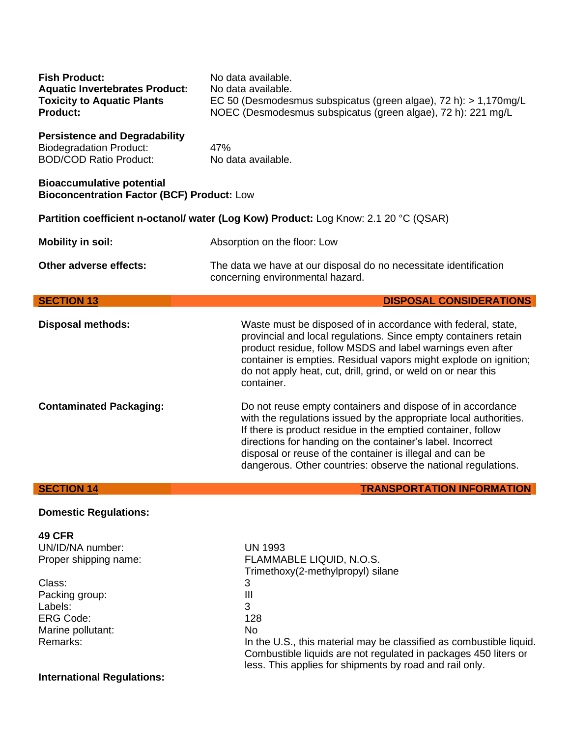| <b>Fish Product:</b><br><b>Aquatic Invertebrates Product:</b><br><b>Toxicity to Aquatic Plants</b><br>Product: | No data available.<br>No data available.<br>EC 50 (Desmodesmus subspicatus (green algae), 72 h): > 1,170mg/L<br>NOEC (Desmodesmus subspicatus (green algae), 72 h): 221 mg/L                                                                                                                                                                                                               |  |
|----------------------------------------------------------------------------------------------------------------|--------------------------------------------------------------------------------------------------------------------------------------------------------------------------------------------------------------------------------------------------------------------------------------------------------------------------------------------------------------------------------------------|--|
| <b>Persistence and Degradability</b><br><b>Biodegradation Product:</b><br><b>BOD/COD Ratio Product:</b>        | 47%<br>No data available.                                                                                                                                                                                                                                                                                                                                                                  |  |
| <b>Bioaccumulative potential</b><br><b>Bioconcentration Factor (BCF) Product: Low</b>                          |                                                                                                                                                                                                                                                                                                                                                                                            |  |
| Partition coefficient n-octanol/ water (Log Kow) Product: Log Know: 2.1 20 °C (QSAR)                           |                                                                                                                                                                                                                                                                                                                                                                                            |  |
| <b>Mobility in soil:</b>                                                                                       | Absorption on the floor: Low                                                                                                                                                                                                                                                                                                                                                               |  |
| Other adverse effects:                                                                                         | The data we have at our disposal do no necessitate identification<br>concerning environmental hazard.                                                                                                                                                                                                                                                                                      |  |
|                                                                                                                |                                                                                                                                                                                                                                                                                                                                                                                            |  |
| <b>SECTION 13</b>                                                                                              | <b>DISPOSAL CONSIDERATIONS</b>                                                                                                                                                                                                                                                                                                                                                             |  |
| <b>Disposal methods:</b>                                                                                       | Waste must be disposed of in accordance with federal, state,<br>provincial and local regulations. Since empty containers retain<br>product residue, follow MSDS and label warnings even after<br>container is empties. Residual vapors might explode on ignition;<br>do not apply heat, cut, drill, grind, or weld on or near this<br>container.                                           |  |
| <b>Contaminated Packaging:</b>                                                                                 | Do not reuse empty containers and dispose of in accordance<br>with the regulations issued by the appropriate local authorities.<br>If there is product residue in the emptied container, follow<br>directions for handing on the container's label. Incorrect<br>disposal or reuse of the container is illegal and can be<br>dangerous. Other countries: observe the national regulations. |  |

# **Domestic Regulations:**

| <b>49 CFR</b>                     |                                                                     |
|-----------------------------------|---------------------------------------------------------------------|
| UN/ID/NA number:                  | <b>UN 1993</b>                                                      |
| Proper shipping name:             | FLAMMABLE LIQUID, N.O.S.                                            |
|                                   | Trimethoxy(2-methylpropyl) silane                                   |
| Class:                            | 3                                                                   |
| Packing group:                    | Ш                                                                   |
| Labels:                           | 3                                                                   |
| ERG Code:                         | 128                                                                 |
| Marine pollutant:                 | No.                                                                 |
| Remarks:                          | In the U.S., this material may be classified as combustible liquid. |
|                                   | Combustible liquids are not regulated in packages 450 liters or     |
|                                   | less. This applies for shipments by road and rail only.             |
| <b>International Regulations:</b> |                                                                     |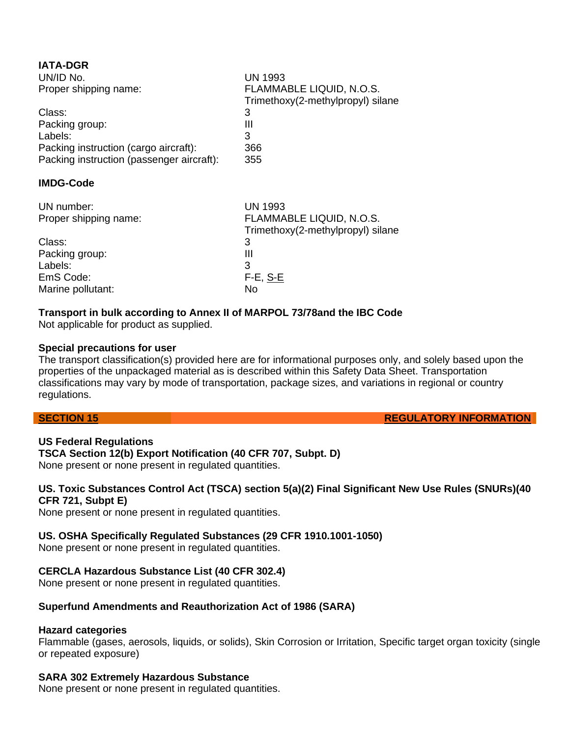| <b>IATA-DGR</b>                           |                                                               |
|-------------------------------------------|---------------------------------------------------------------|
| UN/ID No.                                 | <b>UN 1993</b>                                                |
| Proper shipping name:                     | FLAMMABLE LIQUID, N.O.S.<br>Trimethoxy(2-methylpropyl) silane |
| Class:                                    | 3                                                             |
| Packing group:                            | Ш                                                             |
| Labels:                                   | 3                                                             |
| Packing instruction (cargo aircraft):     | 366                                                           |
| Packing instruction (passenger aircraft): | 355                                                           |
| <b>IMDG-Code</b>                          |                                                               |
| UN number:                                | <b>UN 1993</b>                                                |
| Proper shipping name:                     | FLAMMABLE LIQUID, N.O.S.                                      |
|                                           | Trimethoxy(2-methylpropyl) silane                             |
| Class:                                    | 3                                                             |
| Packing group:                            | Ш                                                             |
| Labels:                                   | 3                                                             |
| EmS Code:                                 | $F-E$ , S-E                                                   |
| Marine pollutant:                         | No                                                            |

# **Transport in bulk according to Annex II of MARPOL 73/78and the IBC Code**

Not applicable for product as supplied.

### **Special precautions for user**

The transport classification(s) provided here are for informational purposes only, and solely based upon the properties of the unpackaged material as is described within this Safety Data Sheet. Transportation classifications may vary by mode of transportation, package sizes, and variations in regional or country regulations.

**SECTION 15 REGULATORY INFORMATION** 

**US Federal Regulations TSCA Section 12(b) Export Notification (40 CFR 707, Subpt. D)**

None present or none present in regulated quantities.

### **US. Toxic Substances Control Act (TSCA) section 5(a)(2) Final Significant New Use Rules (SNURs)(40 CFR 721, Subpt E)**

None present or none present in regulated quantities.

# **US. OSHA Specifically Regulated Substances (29 CFR 1910.1001-1050)**

None present or none present in regulated quantities.

# **CERCLA Hazardous Substance List (40 CFR 302.4)**

None present or none present in regulated quantities.

# **Superfund Amendments and Reauthorization Act of 1986 (SARA)**

### **Hazard categories**

Flammable (gases, aerosols, liquids, or solids), Skin Corrosion or Irritation, Specific target organ toxicity (single or repeated exposure)

### **SARA 302 Extremely Hazardous Substance**

None present or none present in regulated quantities.